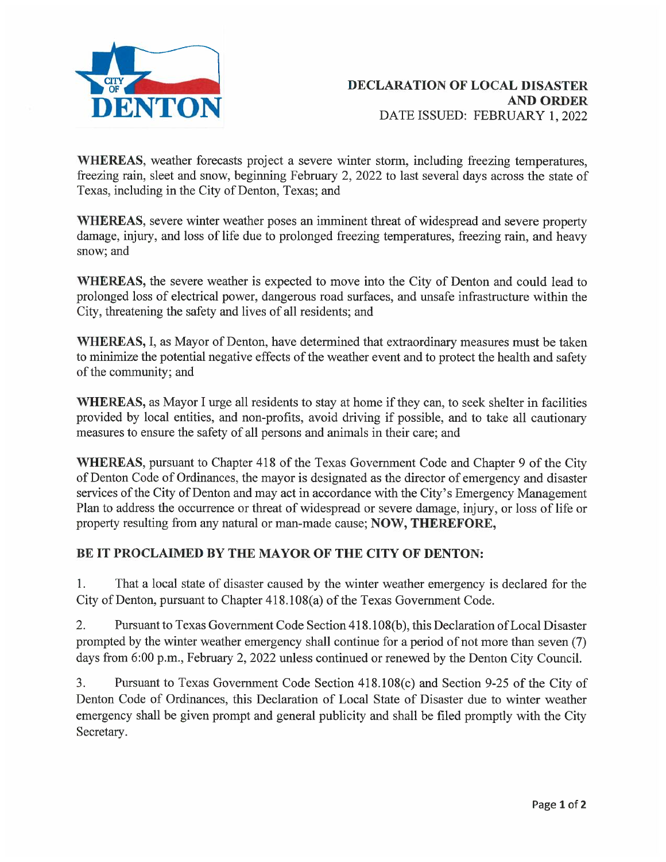

WHEREAS, weather forecasts project a severe winter storm, including freezing temperatures, freezing rain, sleet and snow, beginning February 2, 2022 to last several days across the state of Texas, including in the City of Denton, Texas; and

WHEREAS, severe winter weather poses an imminent threat of widespread and severe property damage, injury, and loss of life due to prolonged freezing temperatures, freezing rain, and heavy snow; and

WHEREAS, the severe weather is expected to move into the City of Denton and could lead to prolonged loss of electrical power, dangerous road surfaces, and unsafe infrastructure within the City, threatening the safety and lives of all residents; and

WHEREAS, I, as Mayor of Denton, have determined that extraordinary measures must be taken to minimize the potential negative effects of the weather event and to protect the health and safety of the community; and

WHEREAS, as Mayor I urge all residents to stay at home if they can, to seek shelter in facilities provided by local entities, and non-profits, avoid driving if possible, and to take all cautionary measures to ensure the safety of all persons and animals in their care; and

WHEREAS, pursuant to Chapter 418 of the Texas Government Code and Chapter 9 of the City of Denton Code of Ordinances, the mayor is designated as the director of emergency and disaster services of the City of Denton and may act in accordance with the City's Emergency Management Plan to address the occurrence or threat of widespread or severe damage, injury, or loss of life or property resulting from any natural or man-made cause; NOW, THEREFORE,

## BE IT PROCLAIMED BY THE MAYOR OF THE CITY OF DENTON:

1. That a local state of disaster caused by the winter weather emergency is declared for the City of Denton, pursuant to Chapter 418.108(a) of the Texas Government Code.

2. Pursuant to Texas Government Code Section 418.108(b), this Declaration of Local Disaster prompted by the winter weather emergency shall continue for a period of not more than seven (7) days from 6:00 p.m., February 2, 2022 unless continued or renewed by the Denton City Council.

3. Pursuant to Texas Government Code Section 418.108(c) and Section 9-25 of the City of Denton Code of Ordinances, this Declaration of Local State of Disaster due to winter weather emergency shall be given prompt and general publicity and shall be filed promptly with the City Secretary.